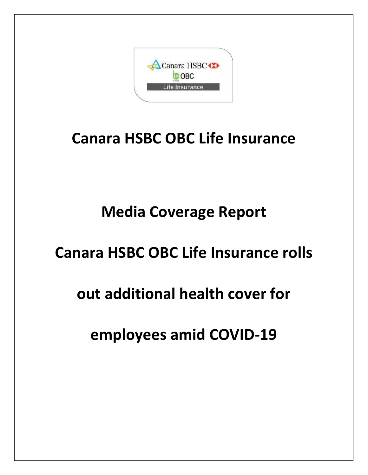

## **Canara HSBC OBC Life Insurance**

# **Media Coverage Report**

### **Canara HSBC OBC Life Insurance rolls**

### **out additional health cover for**

### **employees amid COVID-19**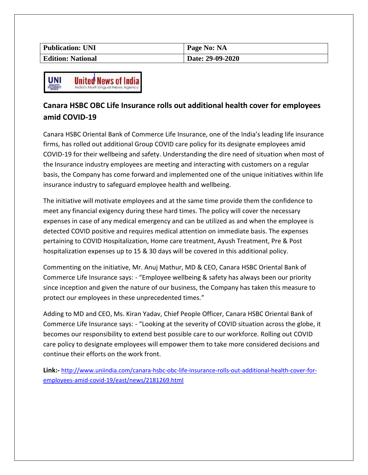| <b>Publication: UNI</b>  | Page No: NA      |
|--------------------------|------------------|
| <b>Edition: National</b> | Date: 29-09-2020 |



#### **Canara HSBC OBC Life Insurance rolls out additional health cover for employees amid COVID-19**

Canara HSBC Oriental Bank of Commerce Life Insurance, one of the India's leading life insurance firms, has rolled out additional Group COVID care policy for its designate employees amid COVID-19 for their wellbeing and safety. Understanding the dire need of situation when most of the Insurance industry employees are meeting and interacting with customers on a regular basis, the Company has come forward and implemented one of the unique initiatives within life insurance industry to safeguard employee health and wellbeing.

The initiative will motivate employees and at the same time provide them the confidence to meet any financial exigency during these hard times. The policy will cover the necessary expenses in case of any medical emergency and can be utilized as and when the employee is detected COVID positive and requires medical attention on immediate basis. The expenses pertaining to COVID Hospitalization, Home care treatment, Ayush Treatment, Pre & Post hospitalization expenses up to 15 & 30 days will be covered in this additional policy.

Commenting on the initiative, Mr. Anuj Mathur, MD & CEO, Canara HSBC Oriental Bank of Commerce Life Insurance says: - "Employee wellbeing & safety has always been our priority since inception and given the nature of our business, the Company has taken this measure to protect our employees in these unprecedented times."

Adding to MD and CEO, Ms. Kiran Yadav, Chief People Officer, Canara HSBC Oriental Bank of Commerce Life Insurance says: - "Looking at the severity of COVID situation across the globe, it becomes our responsibility to extend best possible care to our workforce. Rolling out COVID care policy to designate employees will empower them to take more considered decisions and continue their efforts on the work front.

**Link:-** [http://www.uniindia.com/canara-hsbc-obc-life-insurance-rolls-out-additional-health-cover-for](http://www.uniindia.com/canara-hsbc-obc-life-insurance-rolls-out-additional-health-cover-for-employees-amid-covid-19/east/news/2181269.html)[employees-amid-covid-19/east/news/2181269.html](http://www.uniindia.com/canara-hsbc-obc-life-insurance-rolls-out-additional-health-cover-for-employees-amid-covid-19/east/news/2181269.html)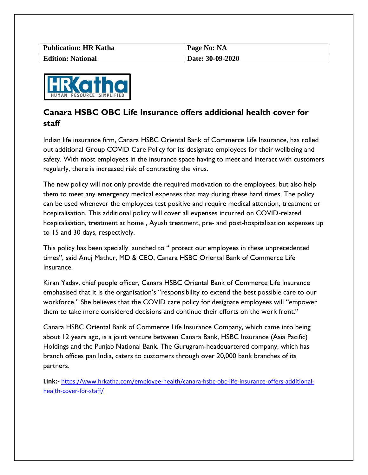| <b>Publication: HR Katha</b> | Page No: NA      |
|------------------------------|------------------|
| <b>Edition: National</b>     | Date: 30-09-2020 |



### **Canara HSBC OBC Life Insurance offers additional health cover for staff**

Indian life insurance firm, Canara HSBC Oriental Bank of Commerce Life Insurance, has rolled out additional Group COVID Care Policy for its designate employees for their wellbeing and safety. With most employees in the insurance space having to meet and interact with customers regularly, there is increased risk of contracting the virus.

The new policy will not only provide the required motivation to the employees, but also help them to meet any emergency medical expenses that may during these hard times. The policy can be used whenever the employees test positive and require medical attention, treatment or hospitalisation. This additional policy will cover all expenses incurred on COVID-related hospitalisation, treatment at home , Ayush treatment, pre- and post-hospitalisation expenses up to 15 and 30 days, respectively.

This policy has been specially launched to " protect our employees in these unprecedented times", said Anuj Mathur, MD & CEO, Canara HSBC Oriental Bank of Commerce Life Insurance.

Kiran Yadav, chief people officer, Canara HSBC Oriental Bank of Commerce Life Insurance emphasised that it is the organisation's "responsibility to extend the best possible care to our workforce." She believes that the COVID care policy for designate employees will "empower them to take more considered decisions and continue their efforts on the work front."

Canara HSBC Oriental Bank of Commerce Life Insurance Company, which came into being about 12 years ago, is a joint venture between Canara Bank, HSBC Insurance (Asia Pacific) Holdings and the Punjab National Bank. The Gurugram-headquartered company, which has branch offices pan India, caters to customers through over 20,000 bank branches of its partners.

**Link:-** [https://www.hrkatha.com/employee-health/canara-hsbc-obc-life-insurance-offers-additional](https://www.hrkatha.com/employee-health/canara-hsbc-obc-life-insurance-offers-additional-health-cover-for-staff/)[health-cover-for-staff/](https://www.hrkatha.com/employee-health/canara-hsbc-obc-life-insurance-offers-additional-health-cover-for-staff/)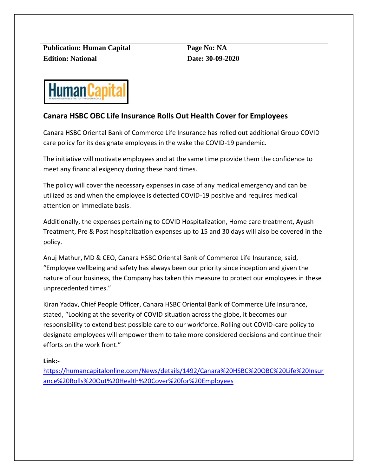| <b>Publication: Human Capital</b> | Page No: NA      |
|-----------------------------------|------------------|
| <b>Edition: National</b>          | Date: 30-09-2020 |



#### **Canara HSBC OBC Life Insurance Rolls Out Health Cover for Employees**

Canara HSBC Oriental Bank of Commerce Life Insurance has rolled out additional Group COVID care policy for its designate employees in the wake the COVID-19 pandemic.

The initiative will motivate employees and at the same time provide them the confidence to meet any financial exigency during these hard times.

The policy will cover the necessary expenses in case of any medical emergency and can be utilized as and when the employee is detected COVID-19 positive and requires medical attention on immediate basis.

Additionally, the expenses pertaining to COVID Hospitalization, Home care treatment, Ayush Treatment, Pre & Post hospitalization expenses up to 15 and 30 days will also be covered in the policy.

Anuj Mathur, MD & CEO, Canara HSBC Oriental Bank of Commerce Life Insurance, said, "Employee wellbeing and safety has always been our priority since inception and given the nature of our business, the Company has taken this measure to protect our employees in these unprecedented times."

Kiran Yadav, Chief People Officer, Canara HSBC Oriental Bank of Commerce Life Insurance, stated, "Looking at the severity of COVID situation across the globe, it becomes our responsibility to extend best possible care to our workforce. Rolling out COVID-care policy to designate employees will empower them to take more considered decisions and continue their efforts on the work front."

#### **Link:-**

[https://humancapitalonline.com/News/details/1492/Canara%20HSBC%20OBC%20Life%20Insur](https://humancapitalonline.com/News/details/1492/Canara%20HSBC%20OBC%20Life%20Insurance%20Rolls%20Out%20Health%20Cover%20for%20Employees) [ance%20Rolls%20Out%20Health%20Cover%20for%20Employees](https://humancapitalonline.com/News/details/1492/Canara%20HSBC%20OBC%20Life%20Insurance%20Rolls%20Out%20Health%20Cover%20for%20Employees)